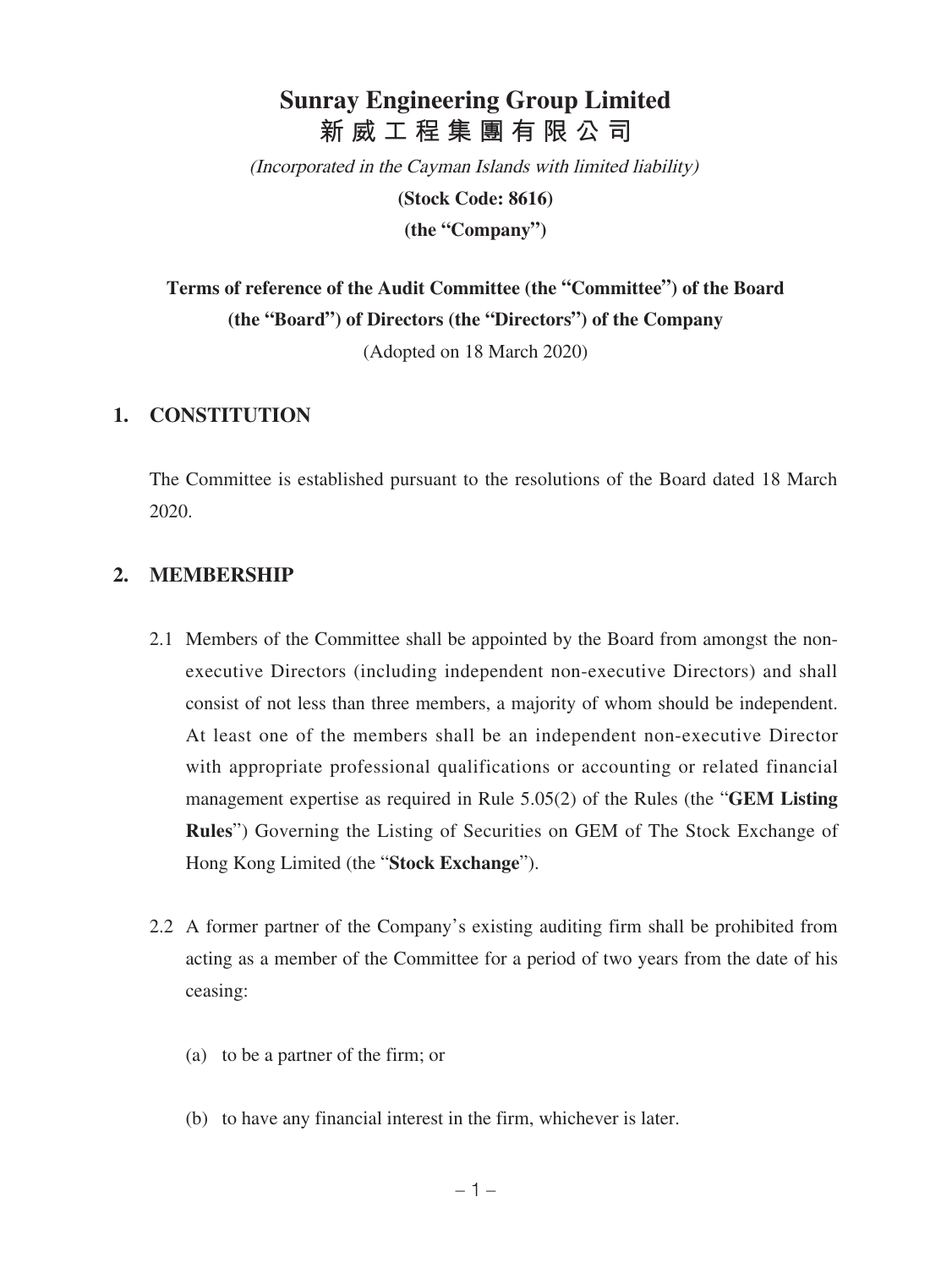# **Sunray Engineering Group Limited 新威工程集團有限公司**

(Incorporated in the Cayman Islands with limited liability)

**(Stock Code: 8616)**

**(the "Company")**

**Terms of reference of the Audit Committee (the "Committee") of the Board (the "Board") of Directors (the "Directors") of the Company**

(Adopted on 18 March 2020)

### **1. CONSTITUTION**

The Committee is established pursuant to the resolutions of the Board dated 18 March 2020.

### **2. MEMBERSHIP**

- 2.1 Members of the Committee shall be appointed by the Board from amongst the nonexecutive Directors (including independent non-executive Directors) and shall consist of not less than three members, a majority of whom should be independent. At least one of the members shall be an independent non-executive Director with appropriate professional qualifications or accounting or related financial management expertise as required in Rule 5.05(2) of the Rules (the "**GEM Listing Rules**") Governing the Listing of Securities on GEM of The Stock Exchange of Hong Kong Limited (the "**Stock Exchange**").
- 2.2 A former partner of the Company's existing auditing firm shall be prohibited from acting as a member of the Committee for a period of two years from the date of his ceasing:
	- (a) to be a partner of the firm; or
	- (b) to have any financial interest in the firm, whichever is later.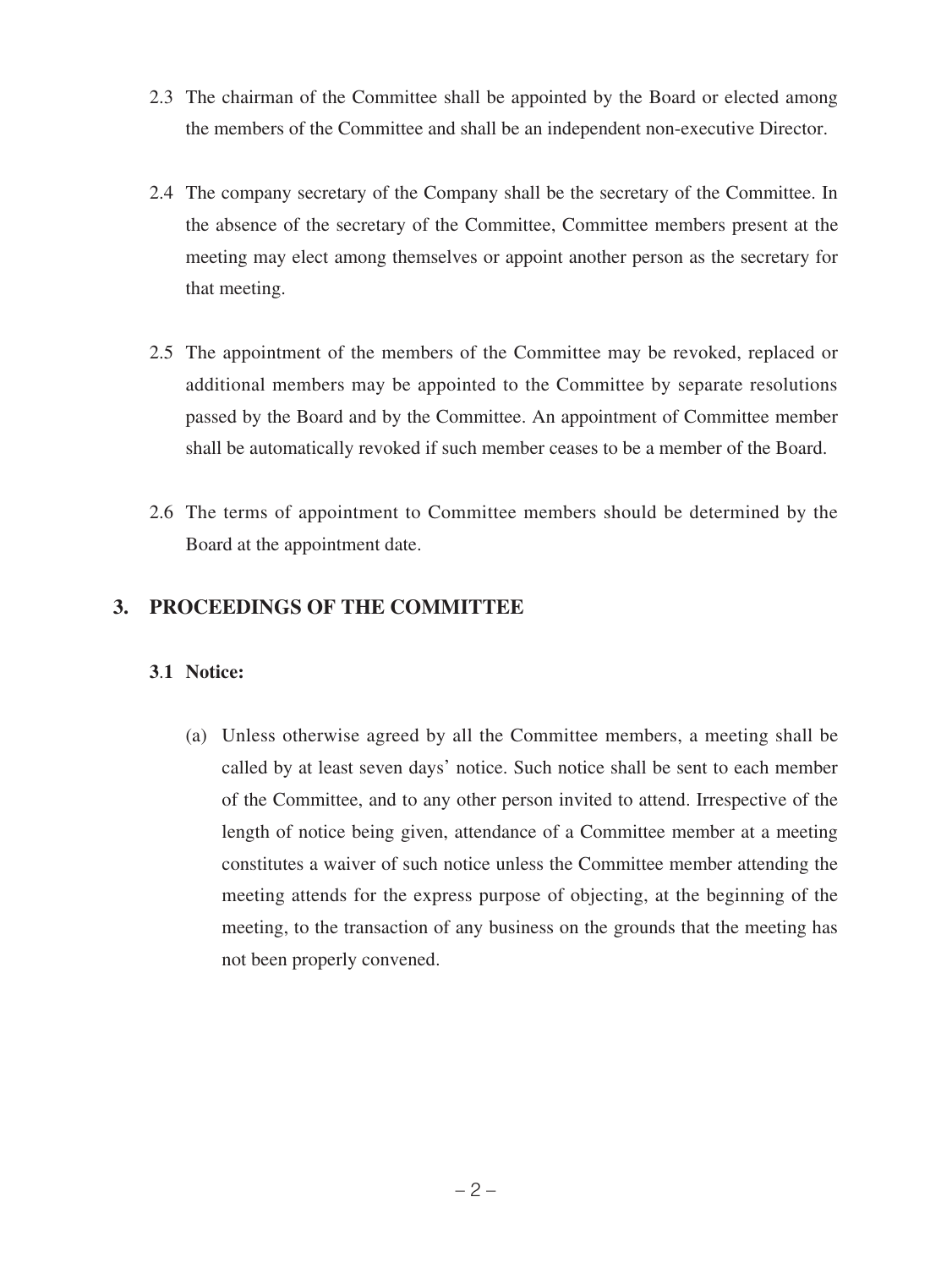- 2.3 The chairman of the Committee shall be appointed by the Board or elected among the members of the Committee and shall be an independent non-executive Director.
- 2.4 The company secretary of the Company shall be the secretary of the Committee. In the absence of the secretary of the Committee, Committee members present at the meeting may elect among themselves or appoint another person as the secretary for that meeting.
- 2.5 The appointment of the members of the Committee may be revoked, replaced or additional members may be appointed to the Committee by separate resolutions passed by the Board and by the Committee. An appointment of Committee member shall be automatically revoked if such member ceases to be a member of the Board.
- 2.6 The terms of appointment to Committee members should be determined by the Board at the appointment date.

## **3. PROCEEDINGS OF THE COMMITTEE**

### **3**.**1 Notice:**

(a) Unless otherwise agreed by all the Committee members, a meeting shall be called by at least seven days' notice. Such notice shall be sent to each member of the Committee, and to any other person invited to attend. Irrespective of the length of notice being given, attendance of a Committee member at a meeting constitutes a waiver of such notice unless the Committee member attending the meeting attends for the express purpose of objecting, at the beginning of the meeting, to the transaction of any business on the grounds that the meeting has not been properly convened.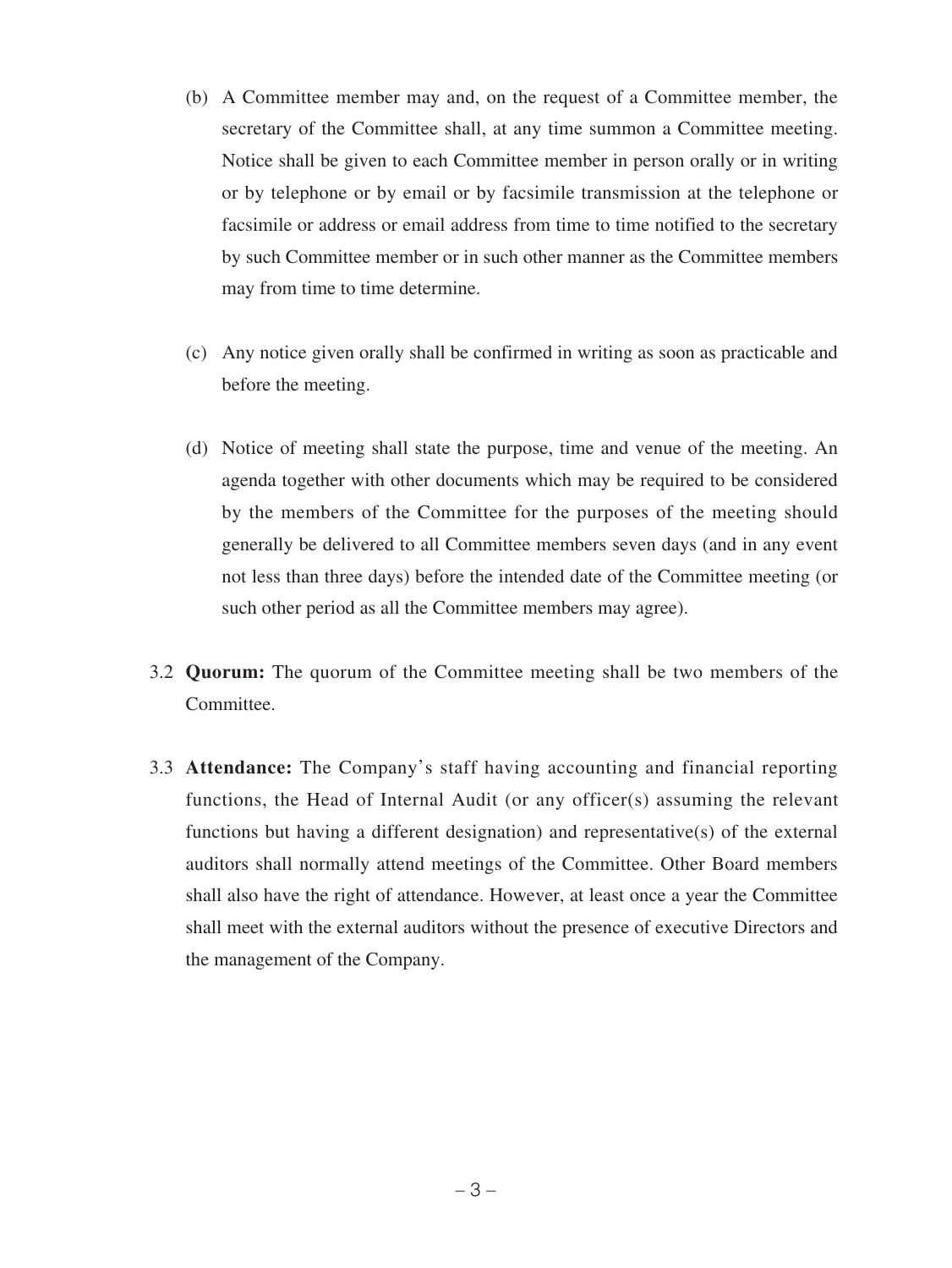- (b) A Committee member may and, on the request of a Committee member, the secretary of the Committee shall, at any time summon a Committee meeting. Notice shall be given to each Committee member in person orally or in writing or by telephone or by email or by facsimile transmission at the telephone or facsimile or address or email address from time to time notified to the secretary by such Committee member or in such other manner as the Committee members may from time to time determine.
- (c) Any notice given orally shall be confirmed in writing as soon as practicable and before the meeting.
- (d) Notice of meeting shall state the purpose, time and venue of the meeting. An agenda together with other documents which may be required to be considered by the members of the Committee for the purposes of the meeting should generally be delivered to all Committee members seven days (and in any event not less than three days) before the intended date of the Committee meeting (or such other period as all the Committee members may agree).
- 3.2 **Quorum:** The quorum of the Committee meeting shall be two members of the Committee.
- 3.3 **Attendance:** The Company's staff having accounting and financial reporting functions, the Head of Internal Audit (or any officer(s) assuming the relevant functions but having a different designation) and representative(s) of the external auditors shall normally attend meetings of the Committee. Other Board members shall also have the right of attendance. However, at least once a year the Committee shall meet with the external auditors without the presence of executive Directors and the management of the Company.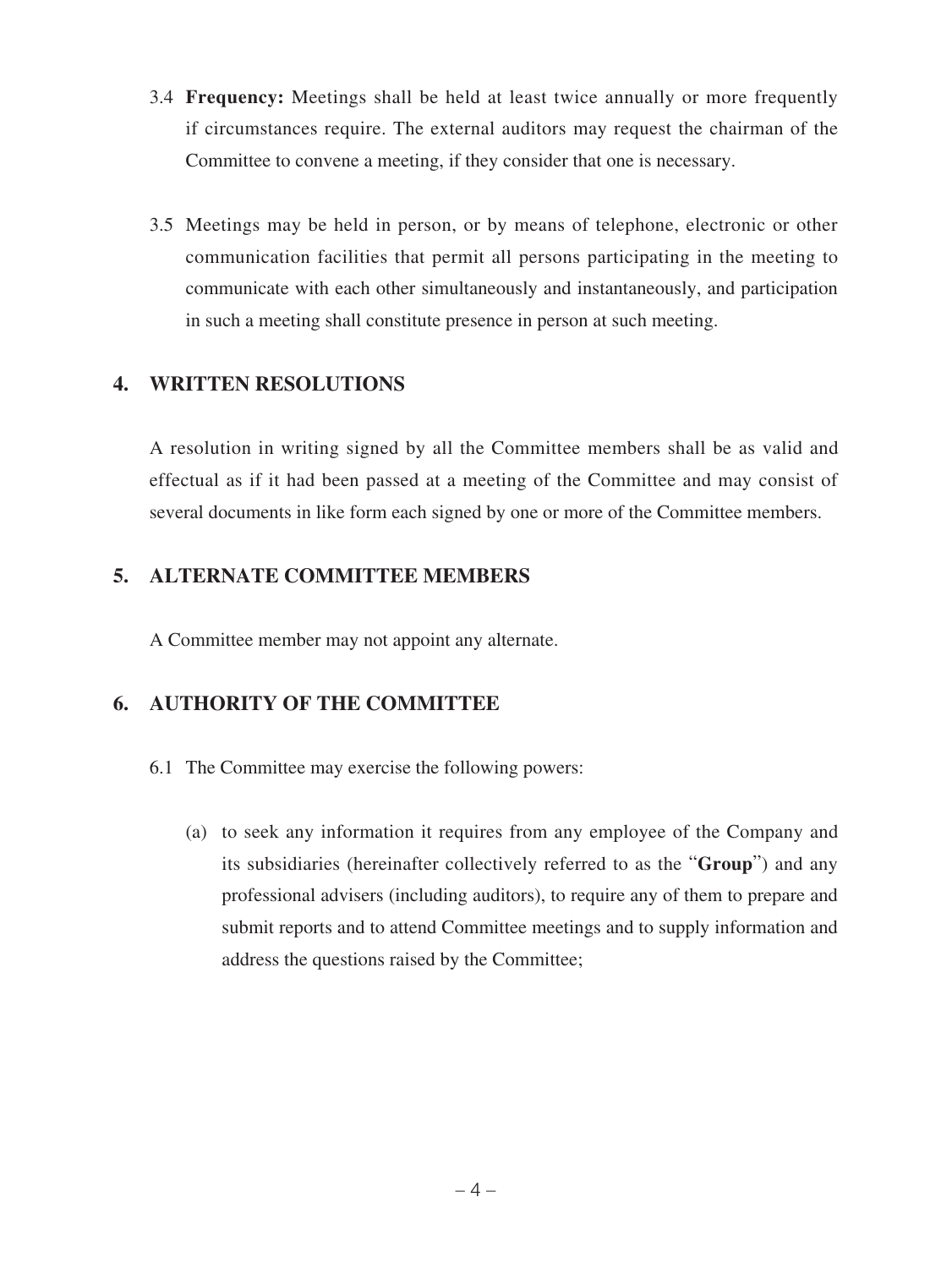- 3.4 **Frequency:** Meetings shall be held at least twice annually or more frequently if circumstances require. The external auditors may request the chairman of the Committee to convene a meeting, if they consider that one is necessary.
- 3.5 Meetings may be held in person, or by means of telephone, electronic or other communication facilities that permit all persons participating in the meeting to communicate with each other simultaneously and instantaneously, and participation in such a meeting shall constitute presence in person at such meeting.

## **4. WRITTEN RESOLUTIONS**

A resolution in writing signed by all the Committee members shall be as valid and effectual as if it had been passed at a meeting of the Committee and may consist of several documents in like form each signed by one or more of the Committee members.

## **5. ALTERNATE COMMITTEE MEMBERS**

A Committee member may not appoint any alternate.

# **6. AUTHORITY OF THE COMMITTEE**

- 6.1 The Committee may exercise the following powers:
	- (a) to seek any information it requires from any employee of the Company and its subsidiaries (hereinafter collectively referred to as the "**Group**") and any professional advisers (including auditors), to require any of them to prepare and submit reports and to attend Committee meetings and to supply information and address the questions raised by the Committee;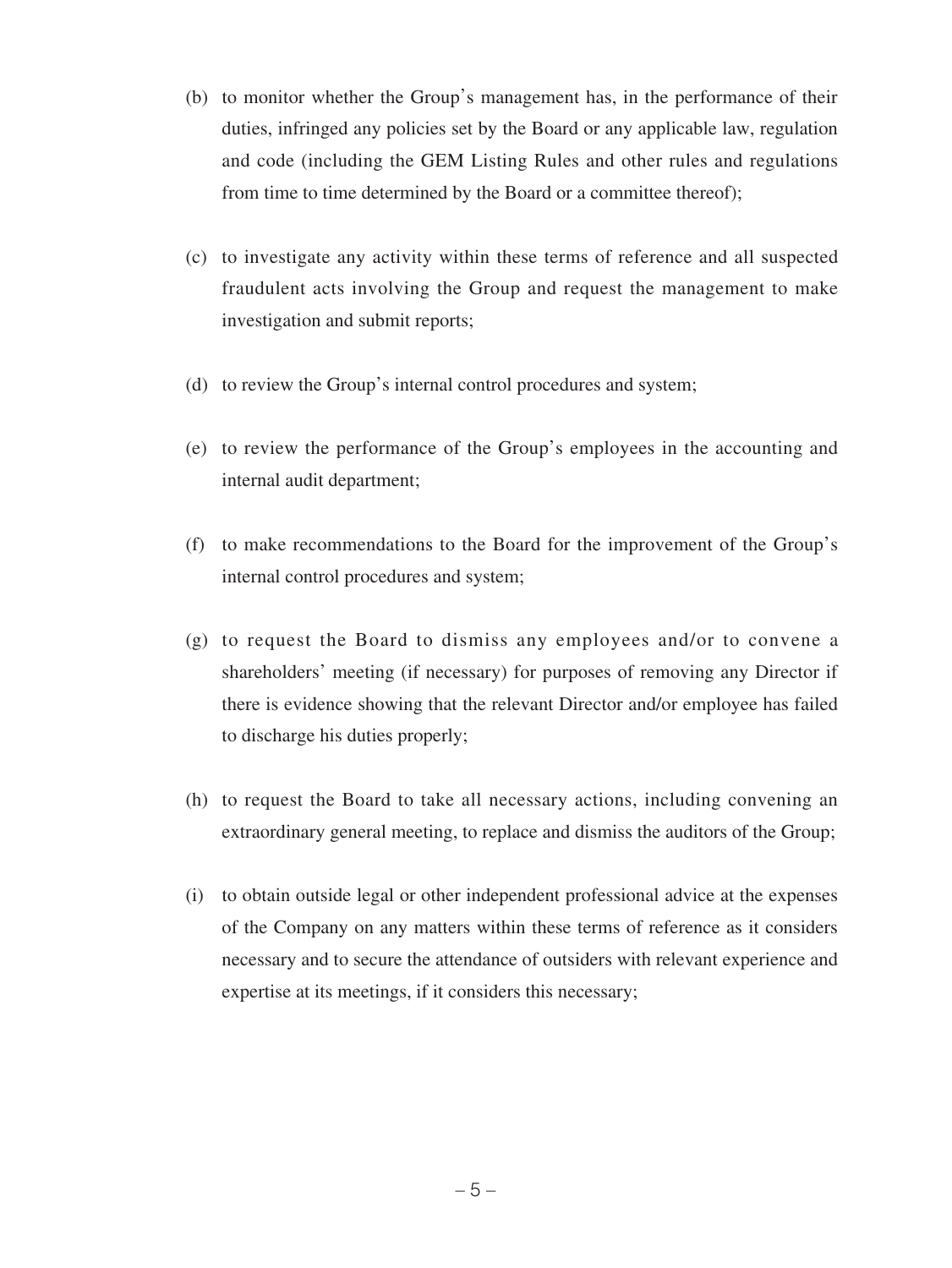- (b) to monitor whether the Group's management has, in the performance of their duties, infringed any policies set by the Board or any applicable law, regulation and code (including the GEM Listing Rules and other rules and regulations from time to time determined by the Board or a committee thereof);
- (c) to investigate any activity within these terms of reference and all suspected fraudulent acts involving the Group and request the management to make investigation and submit reports;
- (d) to review the Group's internal control procedures and system;
- (e) to review the performance of the Group's employees in the accounting and internal audit department;
- (f) to make recommendations to the Board for the improvement of the Group's internal control procedures and system;
- (g) to request the Board to dismiss any employees and/or to convene a shareholders' meeting (if necessary) for purposes of removing any Director if there is evidence showing that the relevant Director and/or employee has failed to discharge his duties properly;
- (h) to request the Board to take all necessary actions, including convening an extraordinary general meeting, to replace and dismiss the auditors of the Group;
- (i) to obtain outside legal or other independent professional advice at the expenses of the Company on any matters within these terms of reference as it considers necessary and to secure the attendance of outsiders with relevant experience and expertise at its meetings, if it considers this necessary;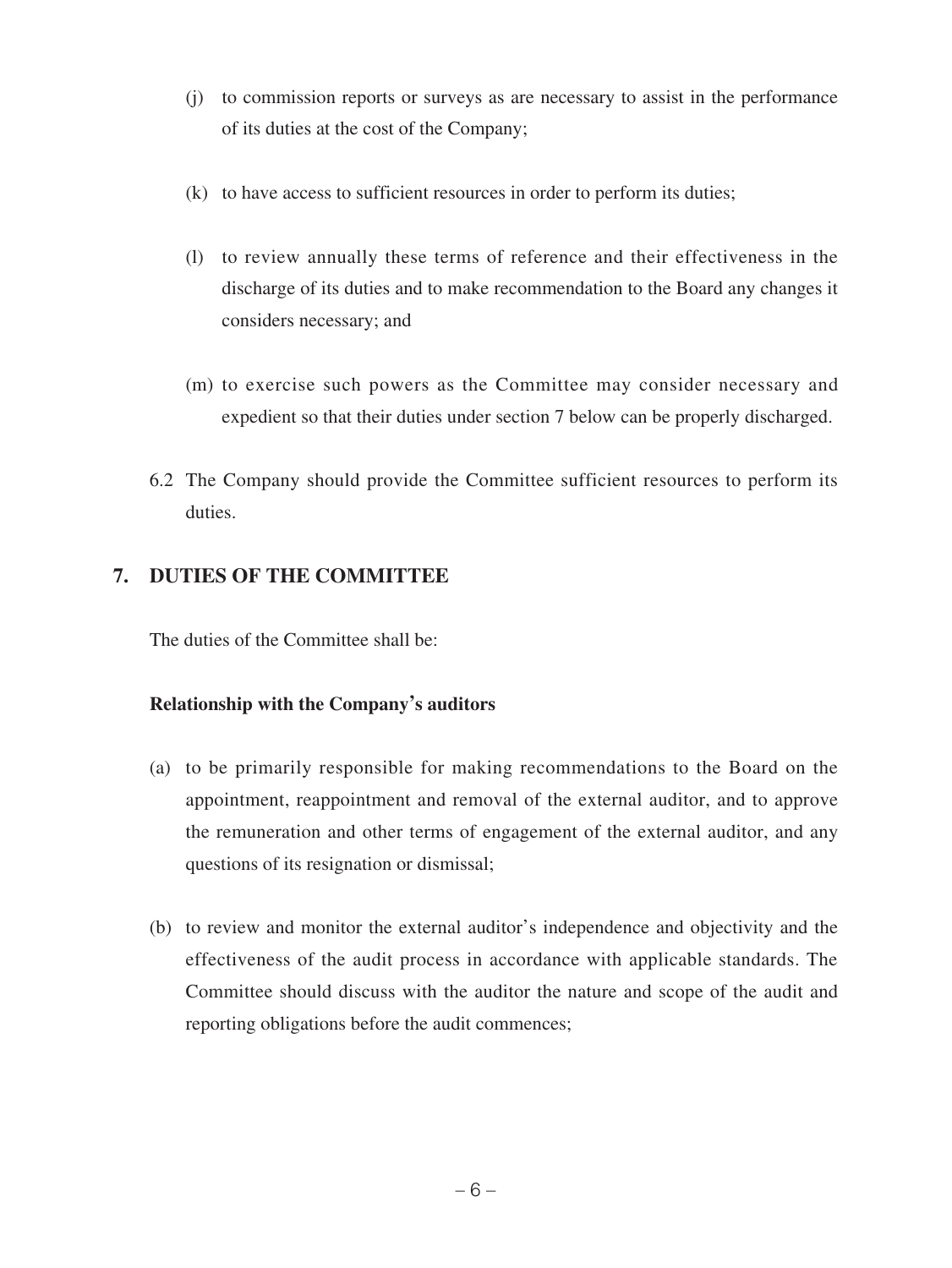- (j) to commission reports or surveys as are necessary to assist in the performance of its duties at the cost of the Company;
- (k) to have access to sufficient resources in order to perform its duties;
- (l) to review annually these terms of reference and their effectiveness in the discharge of its duties and to make recommendation to the Board any changes it considers necessary; and
- (m) to exercise such powers as the Committee may consider necessary and expedient so that their duties under section 7 below can be properly discharged.
- 6.2 The Company should provide the Committee sufficient resources to perform its duties.

## **7. DUTIES OF THE COMMITTEE**

The duties of the Committee shall be:

### **Relationship with the Company's auditors**

- (a) to be primarily responsible for making recommendations to the Board on the appointment, reappointment and removal of the external auditor, and to approve the remuneration and other terms of engagement of the external auditor, and any questions of its resignation or dismissal;
- (b) to review and monitor the external auditor's independence and objectivity and the effectiveness of the audit process in accordance with applicable standards. The Committee should discuss with the auditor the nature and scope of the audit and reporting obligations before the audit commences;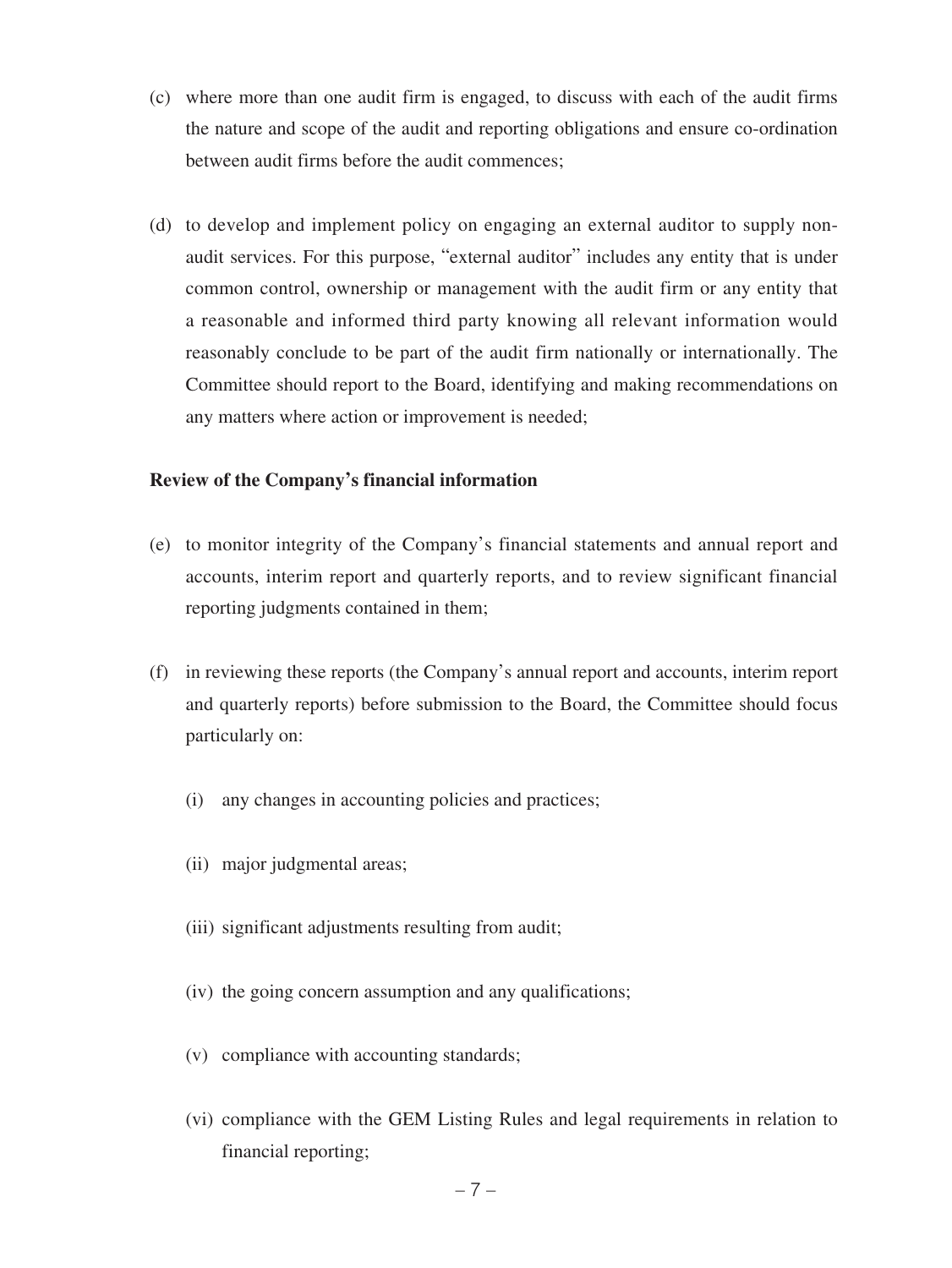- (c) where more than one audit firm is engaged, to discuss with each of the audit firms the nature and scope of the audit and reporting obligations and ensure co-ordination between audit firms before the audit commences;
- (d) to develop and implement policy on engaging an external auditor to supply nonaudit services. For this purpose, "external auditor" includes any entity that is under common control, ownership or management with the audit firm or any entity that a reasonable and informed third party knowing all relevant information would reasonably conclude to be part of the audit firm nationally or internationally. The Committee should report to the Board, identifying and making recommendations on any matters where action or improvement is needed;

#### **Review of the Company's financial information**

- (e) to monitor integrity of the Company's financial statements and annual report and accounts, interim report and quarterly reports, and to review significant financial reporting judgments contained in them;
- (f) in reviewing these reports (the Company's annual report and accounts, interim report and quarterly reports) before submission to the Board, the Committee should focus particularly on:
	- (i) any changes in accounting policies and practices;
	- (ii) major judgmental areas;
	- (iii) significant adjustments resulting from audit;
	- (iv) the going concern assumption and any qualifications;
	- (v) compliance with accounting standards;
	- (vi) compliance with the GEM Listing Rules and legal requirements in relation to financial reporting;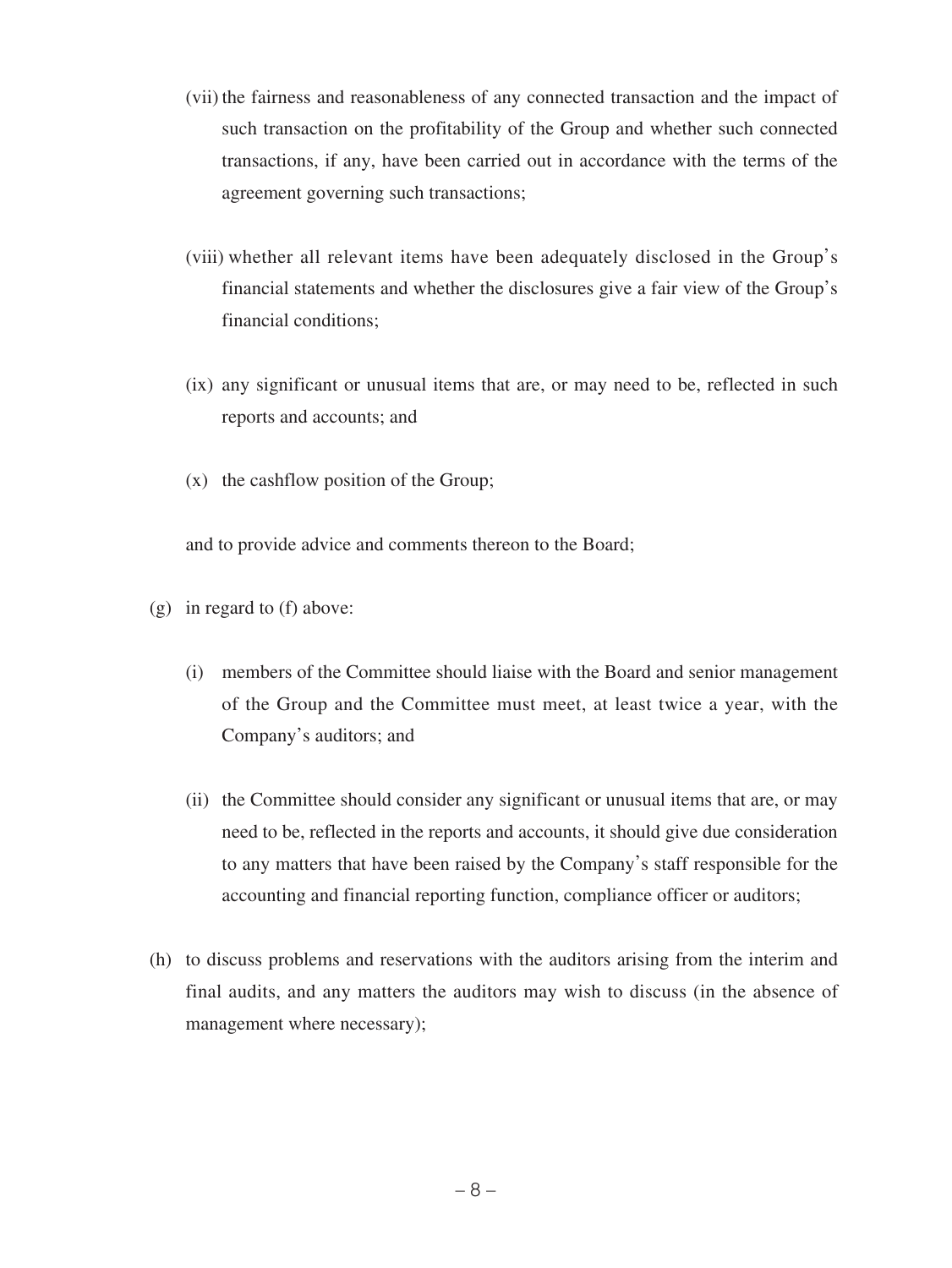- (vii) the fairness and reasonableness of any connected transaction and the impact of such transaction on the profitability of the Group and whether such connected transactions, if any, have been carried out in accordance with the terms of the agreement governing such transactions;
- (viii) whether all relevant items have been adequately disclosed in the Group's financial statements and whether the disclosures give a fair view of the Group's financial conditions;
- (ix) any significant or unusual items that are, or may need to be, reflected in such reports and accounts; and
- (x) the cashflow position of the Group;

and to provide advice and comments thereon to the Board;

- (g) in regard to (f) above:
	- (i) members of the Committee should liaise with the Board and senior management of the Group and the Committee must meet, at least twice a year, with the Company's auditors; and
	- (ii) the Committee should consider any significant or unusual items that are, or may need to be, reflected in the reports and accounts, it should give due consideration to any matters that have been raised by the Company's staff responsible for the accounting and financial reporting function, compliance officer or auditors;
- (h) to discuss problems and reservations with the auditors arising from the interim and final audits, and any matters the auditors may wish to discuss (in the absence of management where necessary);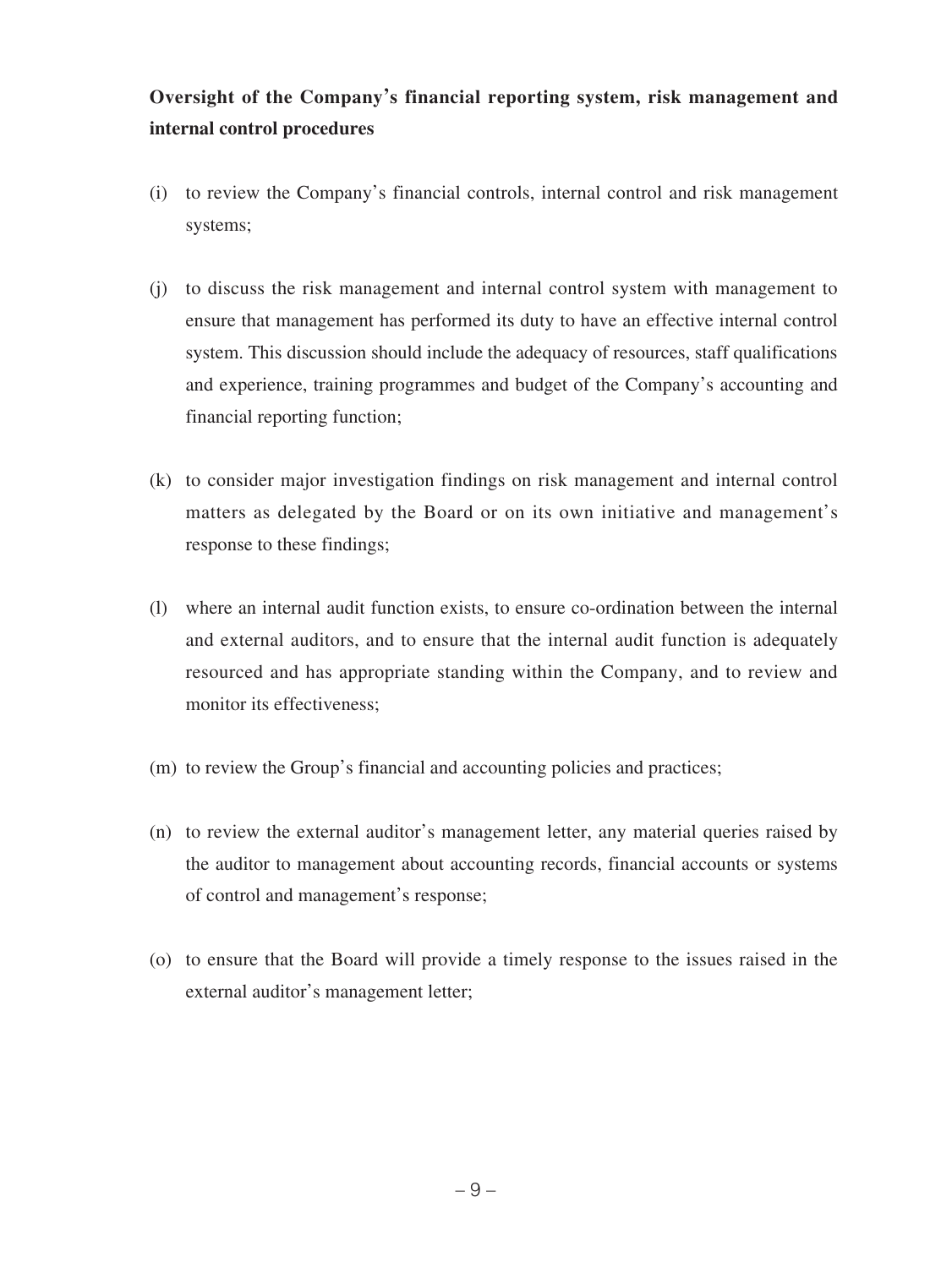# **Oversight of the Company's financial reporting system, risk management and internal control procedures**

- (i) to review the Company's financial controls, internal control and risk management systems;
- (j) to discuss the risk management and internal control system with management to ensure that management has performed its duty to have an effective internal control system. This discussion should include the adequacy of resources, staff qualifications and experience, training programmes and budget of the Company's accounting and financial reporting function;
- (k) to consider major investigation findings on risk management and internal control matters as delegated by the Board or on its own initiative and management's response to these findings;
- (l) where an internal audit function exists, to ensure co-ordination between the internal and external auditors, and to ensure that the internal audit function is adequately resourced and has appropriate standing within the Company, and to review and monitor its effectiveness;
- (m) to review the Group's financial and accounting policies and practices;
- (n) to review the external auditor's management letter, any material queries raised by the auditor to management about accounting records, financial accounts or systems of control and management's response;
- (o) to ensure that the Board will provide a timely response to the issues raised in the external auditor's management letter;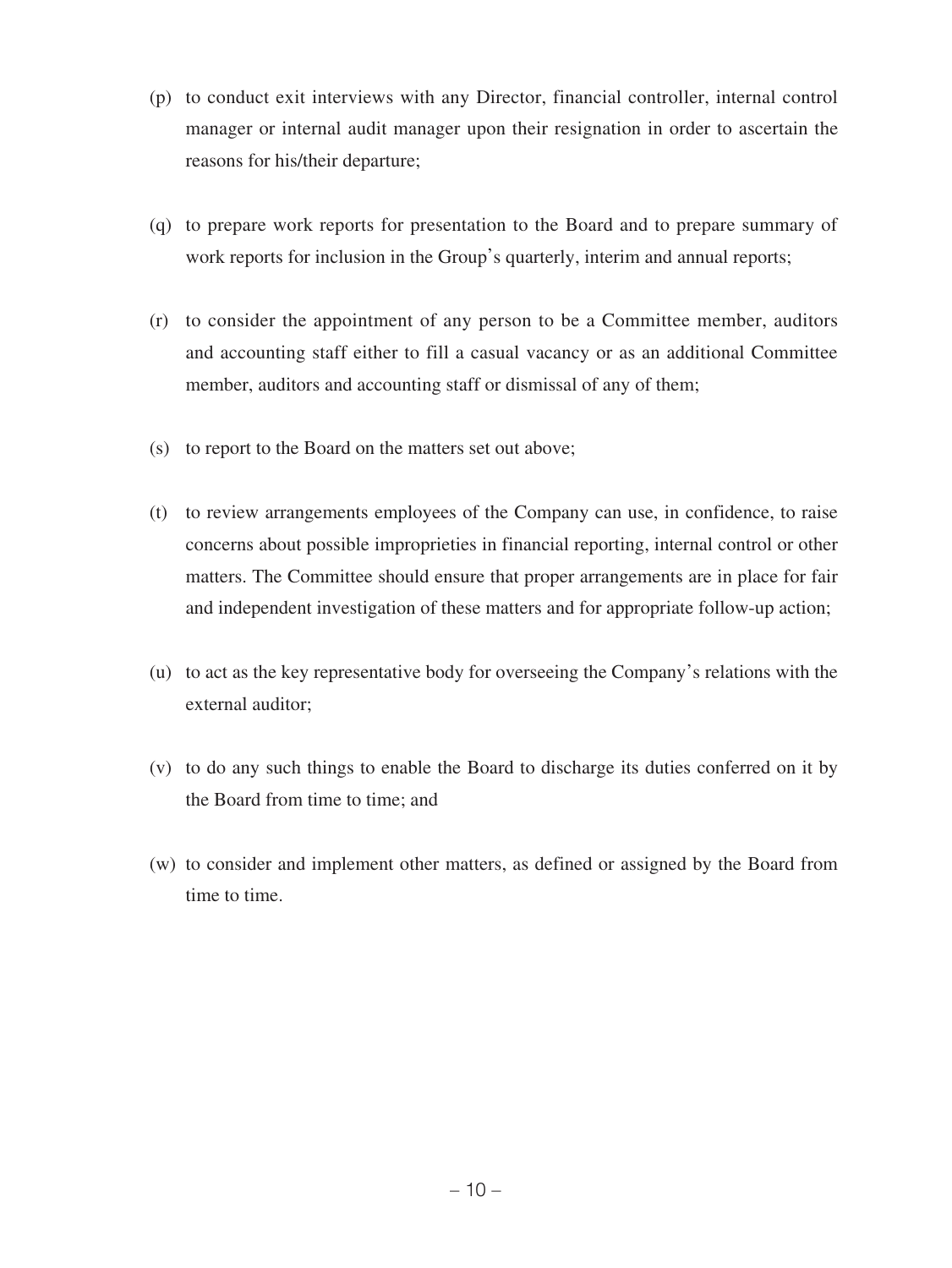- (p) to conduct exit interviews with any Director, financial controller, internal control manager or internal audit manager upon their resignation in order to ascertain the reasons for his/their departure;
- (q) to prepare work reports for presentation to the Board and to prepare summary of work reports for inclusion in the Group's quarterly, interim and annual reports;
- (r) to consider the appointment of any person to be a Committee member, auditors and accounting staff either to fill a casual vacancy or as an additional Committee member, auditors and accounting staff or dismissal of any of them;
- (s) to report to the Board on the matters set out above;
- (t) to review arrangements employees of the Company can use, in confidence, to raise concerns about possible improprieties in financial reporting, internal control or other matters. The Committee should ensure that proper arrangements are in place for fair and independent investigation of these matters and for appropriate follow-up action;
- (u) to act as the key representative body for overseeing the Company's relations with the external auditor;
- (v) to do any such things to enable the Board to discharge its duties conferred on it by the Board from time to time; and
- (w) to consider and implement other matters, as defined or assigned by the Board from time to time.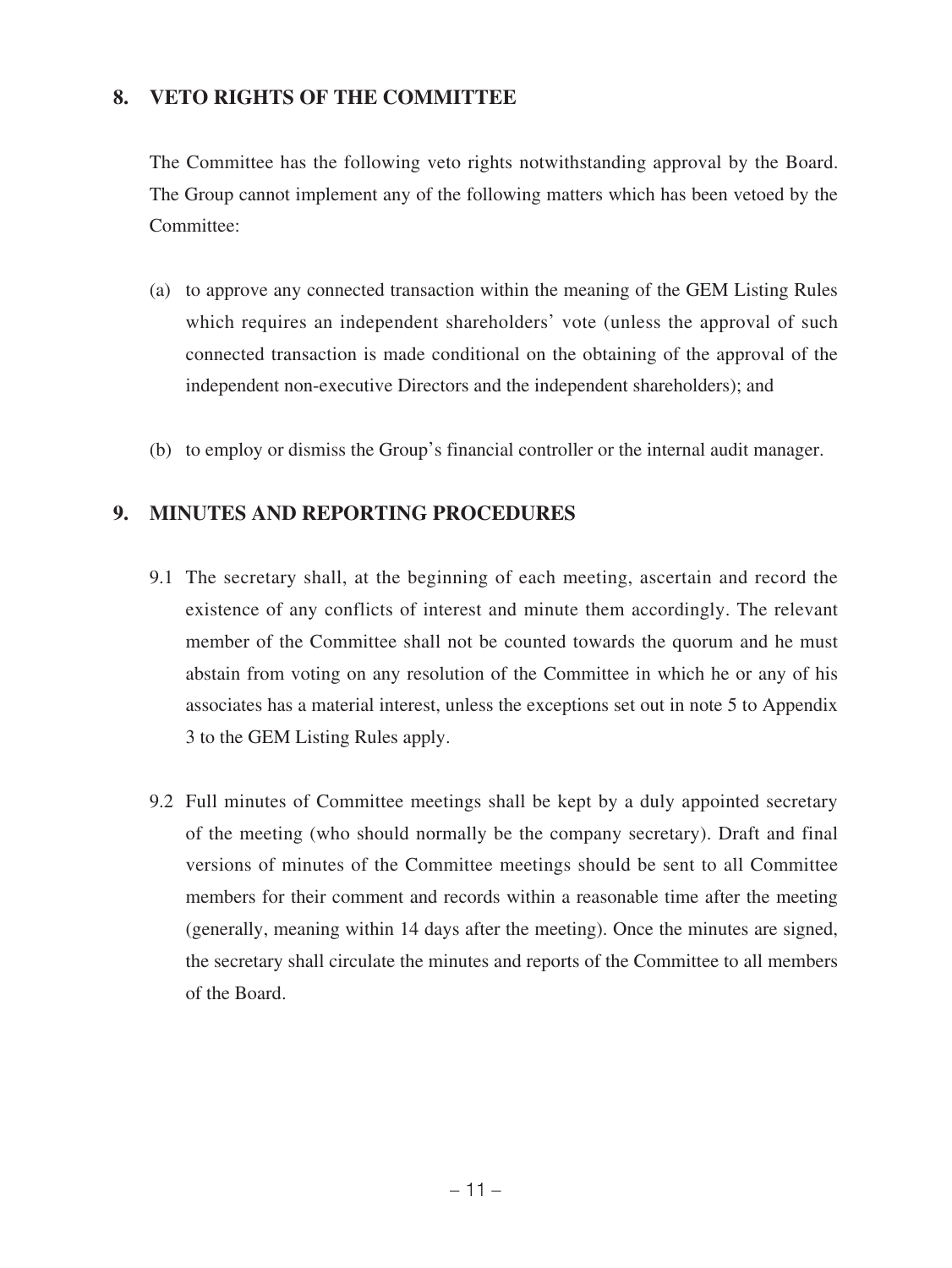## **8. VETO RIGHTS OF THE COMMITTEE**

The Committee has the following veto rights notwithstanding approval by the Board. The Group cannot implement any of the following matters which has been vetoed by the Committee:

- (a) to approve any connected transaction within the meaning of the GEM Listing Rules which requires an independent shareholders' vote (unless the approval of such connected transaction is made conditional on the obtaining of the approval of the independent non-executive Directors and the independent shareholders); and
- (b) to employ or dismiss the Group's financial controller or the internal audit manager.

### **9. MINUTES AND REPORTING PROCEDURES**

- 9.1 The secretary shall, at the beginning of each meeting, ascertain and record the existence of any conflicts of interest and minute them accordingly. The relevant member of the Committee shall not be counted towards the quorum and he must abstain from voting on any resolution of the Committee in which he or any of his associates has a material interest, unless the exceptions set out in note 5 to Appendix 3 to the GEM Listing Rules apply.
- 9.2 Full minutes of Committee meetings shall be kept by a duly appointed secretary of the meeting (who should normally be the company secretary). Draft and final versions of minutes of the Committee meetings should be sent to all Committee members for their comment and records within a reasonable time after the meeting (generally, meaning within 14 days after the meeting). Once the minutes are signed, the secretary shall circulate the minutes and reports of the Committee to all members of the Board.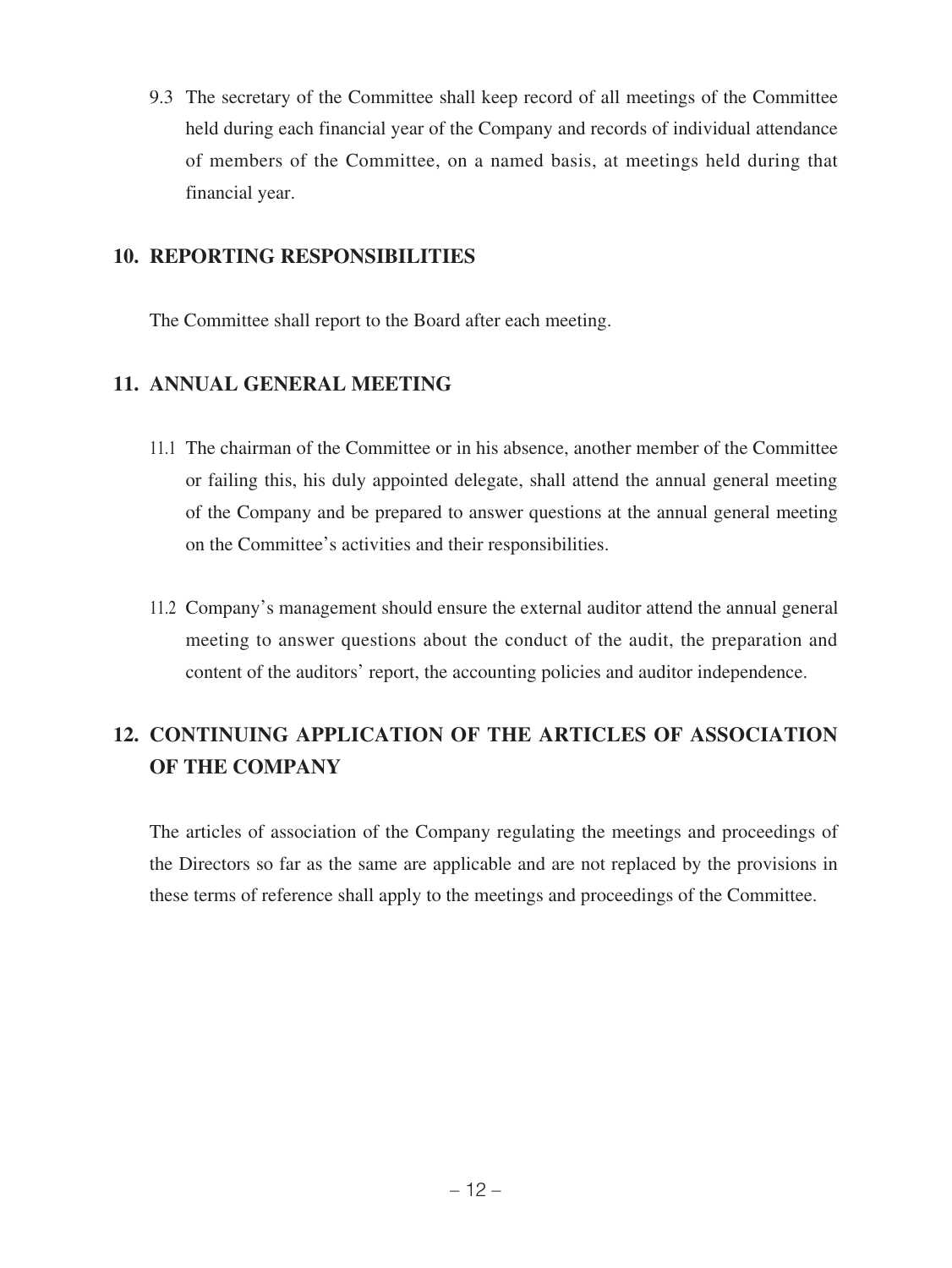9.3 The secretary of the Committee shall keep record of all meetings of the Committee held during each financial year of the Company and records of individual attendance of members of the Committee, on a named basis, at meetings held during that financial year.

### **10. REPORTING RESPONSIBILITIES**

The Committee shall report to the Board after each meeting.

## **11. ANNUAL GENERAL MEETING**

- 11.1 The chairman of the Committee or in his absence, another member of the Committee or failing this, his duly appointed delegate, shall attend the annual general meeting of the Company and be prepared to answer questions at the annual general meeting on the Committee's activities and their responsibilities.
- 11.2 Company's management should ensure the external auditor attend the annual general meeting to answer questions about the conduct of the audit, the preparation and content of the auditors' report, the accounting policies and auditor independence.

# **12. CONTINUING APPLICATION OF THE ARTICLES OF ASSOCIATION OF THE COMPANY**

The articles of association of the Company regulating the meetings and proceedings of the Directors so far as the same are applicable and are not replaced by the provisions in these terms of reference shall apply to the meetings and proceedings of the Committee.